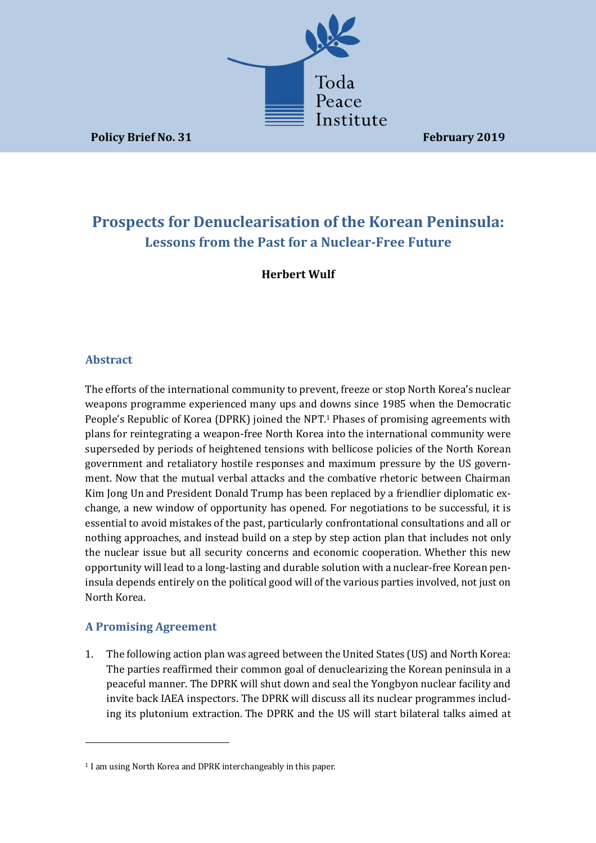

**Policy Brief No. 31 February 2019** 

# **Prospects for Denuclearisation of the Korean Peninsula: Lessons from the Past for a Nuclear-Free Future**

**Herbert Wulf** 

# **Abstract**

The efforts of the international community to prevent, freeze or stop North Korea's nuclear weapons programme experienced many ups and downs since 1985 when the Democratic People's Republic of Korea (DPRK) joined the NPT.<sup>1</sup> Phases of promising agreements with plans for reintegrating a weapon-free North Korea into the international community were superseded by periods of heightened tensions with bellicose policies of the North Korean government and retaliatory hostile responses and maximum pressure by the US government. Now that the mutual verbal attacks and the combative rhetoric between Chairman Kim Jong Un and President Donald Trump has been replaced by a friendlier diplomatic exchange, a new window of opportunity has opened. For negotiations to be successful, it is essential to avoid mistakes of the past, particularly confrontational consultations and all or nothing approaches, and instead build on a step by step action plan that includes not only the nuclear issue but all security concerns and economic cooperation. Whether this new opportunity will lead to a long-lasting and durable solution with a nuclear-free Korean peninsula depends entirely on the political good will of the various parties involved, not just on North Korea.

# **A Promising Agreement**

<u> 1989 - Johann Stein, marwolaethau a bh</u>

1. The following action plan was agreed between the United States (US) and North Korea: The parties reaffirmed their common goal of denuclearizing the Korean peninsula in a peaceful manner. The DPRK will shut down and seal the Yongbyon nuclear facility and invite back IAEA inspectors. The DPRK will discuss all its nuclear programmes including its plutonium extraction. The DPRK and the US will start bilateral talks aimed at

<sup>&</sup>lt;sup>1</sup> I am using North Korea and DPRK interchangeably in this paper.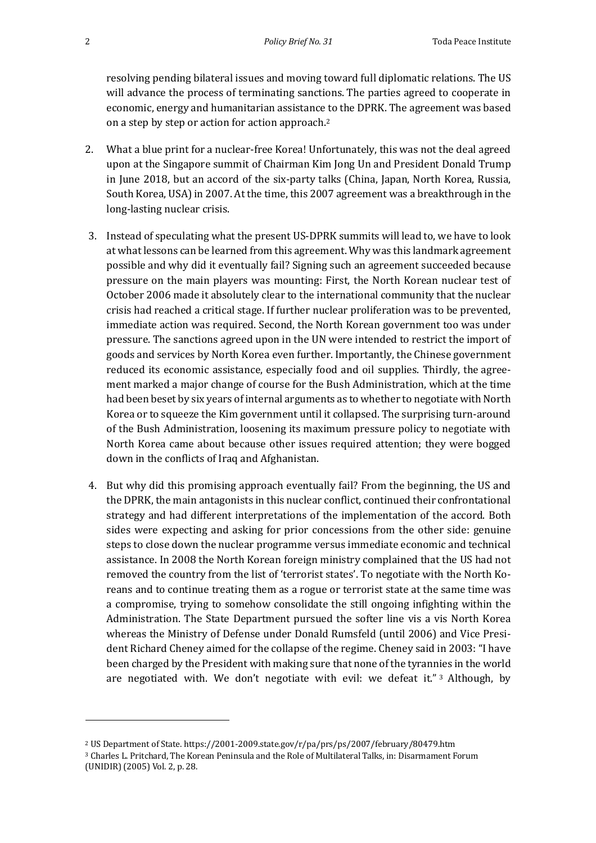resolving pending bilateral issues and moving toward full diplomatic relations. The US will advance the process of terminating sanctions. The parties agreed to cooperate in economic, energy and humanitarian assistance to the DPRK. The agreement was based on a step by step or action for action approach.<sup>2</sup>

- 2. What a blue print for a nuclear-free Korea! Unfortunately, this was not the deal agreed upon at the Singapore summit of Chairman Kim Jong Un and President Donald Trump in June 2018, but an accord of the six-party talks (China, Japan, North Korea, Russia, South Korea, USA) in 2007. At the time, this 2007 agreement was a breakthrough in the long-lasting nuclear crisis.
- 3. Instead of speculating what the present US-DPRK summits will lead to, we have to look at what lessons can be learned from this agreement. Why was this landmark agreement possible and why did it eventually fail? Signing such an agreement succeeded because pressure on the main players was mounting: First, the North Korean nuclear test of October 2006 made it absolutely clear to the international community that the nuclear crisis had reached a critical stage. If further nuclear proliferation was to be prevented, immediate action was required. Second, the North Korean government too was under pressure. The sanctions agreed upon in the UN were intended to restrict the import of goods and services by North Korea even further. Importantly, the Chinese government reduced its economic assistance, especially food and oil supplies. Thirdly, the agreement marked a major change of course for the Bush Administration, which at the time had been beset by six years of internal arguments as to whether to negotiate with North Korea or to squeeze the Kim government until it collapsed. The surprising turn-around of the Bush Administration, loosening its maximum pressure policy to negotiate with North Korea came about because other issues required attention; they were bogged down in the conflicts of Iraq and Afghanistan.
- 4. But why did this promising approach eventually fail? From the beginning, the US and the DPRK, the main antagonists in this nuclear conflict, continued their confrontational strategy and had different interpretations of the implementation of the accord. Both sides were expecting and asking for prior concessions from the other side: genuine steps to close down the nuclear programme versus immediate economic and technical assistance. In 2008 the North Korean foreign ministry complained that the US had not removed the country from the list of 'terrorist states'. To negotiate with the North Koreans and to continue treating them as a rogue or terrorist state at the same time was a compromise, trying to somehow consolidate the still ongoing infighting within the Administration. The State Department pursued the softer line vis a vis North Korea whereas the Ministry of Defense under Donald Rumsfeld (until 2006) and Vice President Richard Cheney aimed for the collapse of the regime. Cheney said in 2003: "I have been charged by the President with making sure that none of the tyrannies in the world are negotiated with. We don't negotiate with evil: we defeat it." 3 Although, by

<u> 1989 - Johann Stein, marwolaethau a bh</u>

<sup>&</sup>lt;sup>2</sup> US Department of State. https://2001-2009.state.gov/r/pa/prs/ps/2007/february/80479.htm

<sup>&</sup>lt;sup>3</sup> Charles L. Pritchard, The Korean Peninsula and the Role of Multilateral Talks, in: Disarmament Forum (UNIDIR) (2005) Vol. 2, p. 28.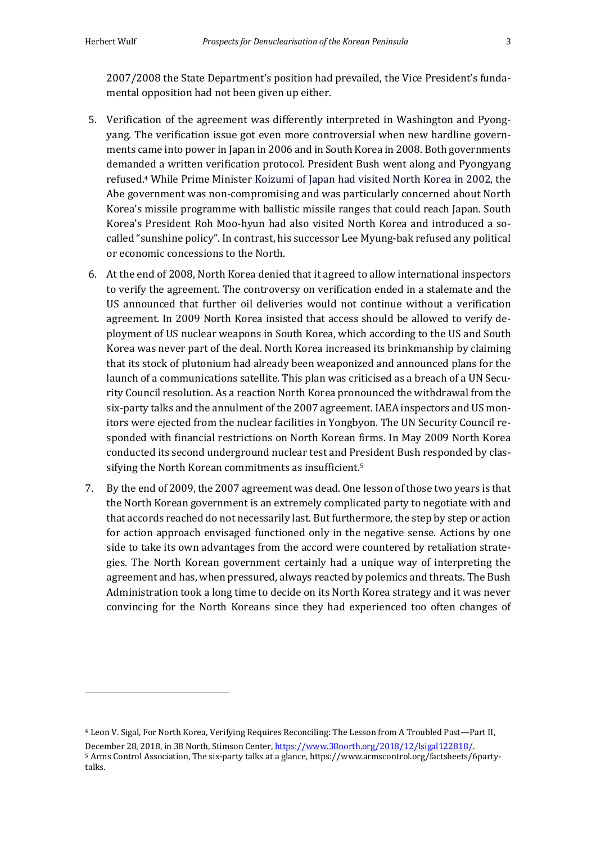2007/2008 the State Department's position had prevailed, the Vice President's fundamental opposition had not been given up either.

- 5. Verification of the agreement was differently interpreted in Washington and Pyongyang. The verification issue got even more controversial when new hardline governments came into power in Japan in 2006 and in South Korea in 2008. Both governments demanded a written verification protocol. President Bush went along and Pyongyang refused.<sup>4</sup> While Prime Minister Koizumi of Japan had visited North Korea in 2002, the Abe government was non-compromising and was particularly concerned about North Korea's missile programme with ballistic missile ranges that could reach Japan. South Korea's President Roh Moo-hyun had also visited North Korea and introduced a socalled "sunshine policy". In contrast, his successor Lee Myung-bak refused any political or economic concessions to the North.
- 6. At the end of 2008, North Korea denied that it agreed to allow international inspectors to verify the agreement. The controversy on verification ended in a stalemate and the US announced that further oil deliveries would not continue without a verification agreement. In 2009 North Korea insisted that access should be allowed to verify deployment of US nuclear weapons in South Korea, which according to the US and South Korea was never part of the deal. North Korea increased its brinkmanship by claiming that its stock of plutonium had already been weaponized and announced plans for the launch of a communications satellite. This plan was criticised as a breach of a UN Security Council resolution. As a reaction North Korea pronounced the withdrawal from the six-party talks and the annulment of the 2007 agreement. IAEA inspectors and US monitors were ejected from the nuclear facilities in Yongbyon. The UN Security Council responded with financial restrictions on North Korean firms. In May 2009 North Korea conducted its second underground nuclear test and President Bush responded by classifying the North Korean commitments as insufficient.<sup>5</sup>
- 7. By the end of 2009, the 2007 agreement was dead. One lesson of those two vears is that the North Korean government is an extremely complicated party to negotiate with and that accords reached do not necessarily last. But furthermore, the step by step or action for action approach envisaged functioned only in the negative sense. Actions by one side to take its own advantages from the accord were countered by retaliation strategies. The North Korean government certainly had a unique way of interpreting the agreement and has, when pressured, always reacted by polemics and threats. The Bush Administration took a long time to decide on its North Korea strategy and it was never convincing for the North Koreans since they had experienced too often changes of

<sup>&</sup>lt;sup>4</sup> Leon V. Sigal, For North Korea, Verifying Requires Reconciling: The Lesson from A Troubled Past—Part II, December 28, 2018, in 38 North, Stimson Center, https://www.38north.org/2018/12/lsigal122818/. 5 Arms Control Association, The six-party talks at a glance, https://www.armscontrol.org/factsheets/6partytalks.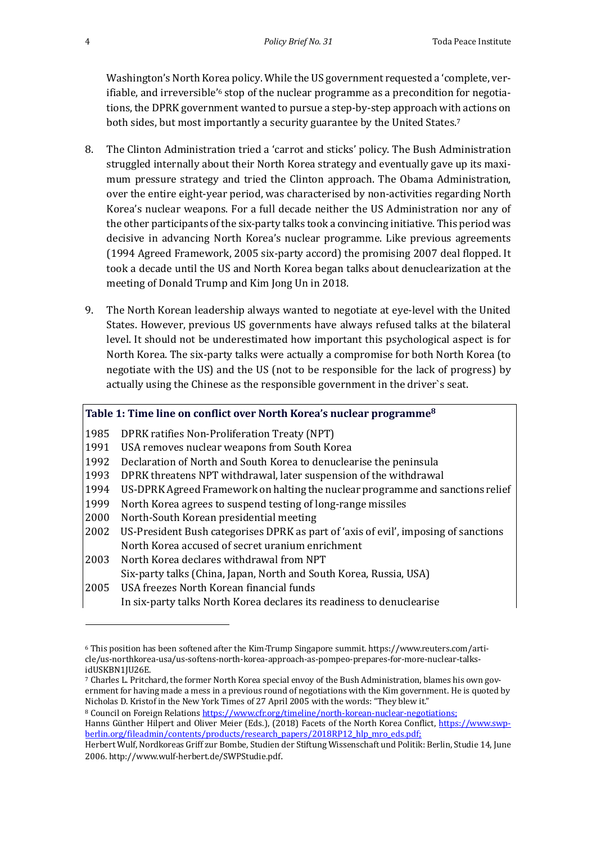Washington's North Korea policy. While the US government requested a 'complete, verifiable, and irreversible'<sup>6</sup> stop of the nuclear programme as a precondition for negotiations, the DPRK government wanted to pursue a step-by-step approach with actions on both sides, but most importantly a security guarantee by the United States.<sup>7</sup>

- 8. The Clinton Administration tried a 'carrot and sticks' policy. The Bush Administration struggled internally about their North Korea strategy and eventually gave up its maximum pressure strategy and tried the Clinton approach. The Obama Administration, over the entire eight-year period, was characterised by non-activities regarding North Korea's nuclear weapons. For a full decade neither the US Administration nor any of the other participants of the six-party talks took a convincing initiative. This period was decisive in advancing North Korea's nuclear programme. Like previous agreements (1994 Agreed Framework, 2005 six-party accord) the promising 2007 deal flopped. It took a decade until the US and North Korea began talks about denuclearization at the meeting of Donald Trump and Kim Jong Un in 2018.
- 9. The North Korean leadership always wanted to negotiate at eye-level with the United States. However, previous US governments have always refused talks at the bilateral level. It should not be underestimated how important this psychological aspect is for North Korea. The six-party talks were actually a compromise for both North Korea (to negotiate with the US) and the US (not to be responsible for the lack of progress) by actually using the Chinese as the responsible government in the driver's seat.

#### Table 1: Time line on conflict over North Korea's nuclear programme<sup>8</sup>

- 1985 DPRK ratifies Non-Proliferation Treaty (NPT)
- 1991 USA removes nuclear weapons from South Korea
- 1992 Declaration of North and South Korea to denuclearise the peninsula
- 1993 DPRK threatens NPT withdrawal, later suspension of the withdrawal
- 1994 US-DPRK Agreed Framework on halting the nuclear programme and sanctions relief
- 1999 North Korea agrees to suspend testing of long-range missiles
- 2000 North-South Korean presidential meeting

 

- 2002 US-President Bush categorises DPRK as part of 'axis of evil', imposing of sanctions North Korea accused of secret uranium enrichment
- 2003 North Korea declares withdrawal from NPT Six-party talks (China, Japan, North and South Korea, Russia, USA)
- 2005 USA freezes North Korean financial funds In six-party talks North Korea declares its readiness to denuclearise

Hanns Günther Hilpert and Oliver Meier (Eds.), (2018) Facets of the North Korea Conflict, https://www.swpberlin.org/fileadmin/contents/products/research\_papers/2018RP12\_hlp\_mro\_eds.pdf;

 $6$  This position has been softened after the Kim-Trump Singapore summit. https://www.reuters.com/article/us-northkorea-usa/us-softens-north-korea-approach-as-pompeo-prepares-for-more-nuclear-talksidUSKBN1JU26E.

<sup>&</sup>lt;sup>7</sup> Charles L. Pritchard, the former North Korea special envoy of the Bush Administration, blames his own government for having made a mess in a previous round of negotiations with the Kim government. He is quoted by Nicholas D. Kristof in the New York Times of 27 April 2005 with the words: "They blew it."

<sup>8</sup> Council on Foreign Relations https://www.cfr.org/timeline/north-korean-nuclear-negotiations;

Herbert Wulf, Nordkoreas Griff zur Bombe, Studien der Stiftung Wissenschaft und Politik: Berlin, Studie 14, June 2006. http://www.wulf-herbert.de/SWPStudie.pdf.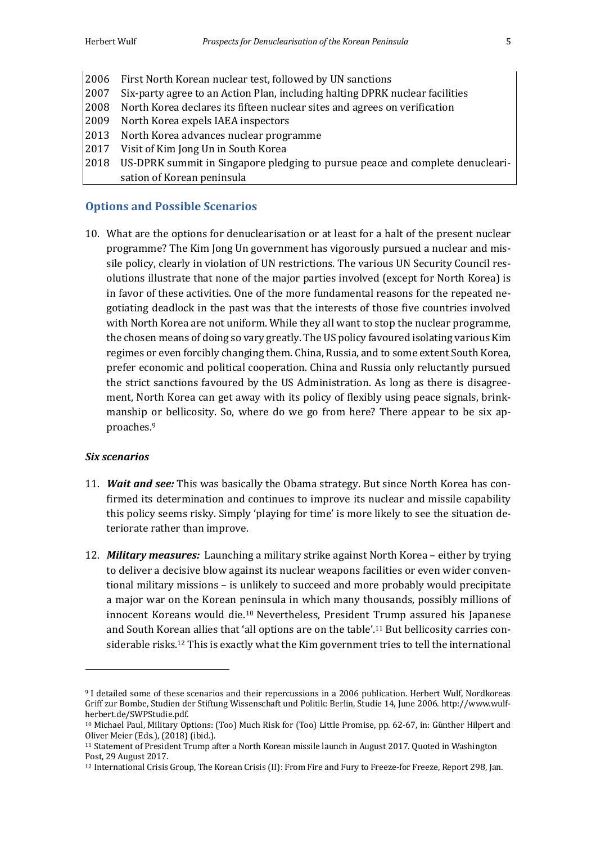2006 First North Korean nuclear test, followed by UN sanctions 2007 Six-party agree to an Action Plan, including halting DPRK nuclear facilities 2008 North Korea declares its fifteen nuclear sites and agrees on verification 2009 North Korea expels IAEA inspectors 2013 North Korea advances nuclear programme 2017 Visit of Kim Jong Un in South Korea 2018 US-DPRK summit in Singapore pledging to pursue peace and complete denuclearisation of Korean peninsula

#### **Options and Possible Scenarios**

10. What are the options for denuclearisation or at least for a halt of the present nuclear programme? The Kim Jong Un government has vigorously pursued a nuclear and missile policy, clearly in violation of UN restrictions. The various UN Security Council resolutions illustrate that none of the major parties involved (except for North Korea) is in favor of these activities. One of the more fundamental reasons for the repeated negotiating deadlock in the past was that the interests of those five countries involved with North Korea are not uniform. While they all want to stop the nuclear programme, the chosen means of doing so vary greatly. The US policy favoured isolating various Kim regimes or even forcibly changing them. China, Russia, and to some extent South Korea, prefer economic and political cooperation. China and Russia only reluctantly pursued the strict sanctions favoured by the US Administration. As long as there is disagreement, North Korea can get away with its policy of flexibly using peace signals, brinkmanship or bellicosity. So, where do we go from here? There appear to be six approaches.9

#### *Six scenarios*

- 11. **Wait and see:** This was basically the Obama strategy. But since North Korea has confirmed its determination and continues to improve its nuclear and missile capability this policy seems risky. Simply 'playing for time' is more likely to see the situation deteriorate rather than improve.
- 12. *Military measures:* Launching a military strike against North Korea either by trying to deliver a decisive blow against its nuclear weapons facilities or even wider conventional military missions - is unlikely to succeed and more probably would precipitate a major war on the Korean peninsula in which many thousands, possibly millions of innocent Koreans would die.<sup>10</sup> Nevertheless, President Trump assured his Japanese and South Korean allies that 'all options are on the table'.<sup>11</sup> But bellicosity carries considerable risks.<sup>12</sup> This is exactly what the Kim government tries to tell the international

<sup>9</sup> I detailed some of these scenarios and their repercussions in a 2006 publication. Herbert Wulf, Nordkoreas Griff zur Bombe, Studien der Stiftung Wissenschaft und Politik: Berlin, Studie 14, June 2006. http://www.wulfherbert.de/SWPStudie.pdf.

<sup>&</sup>lt;sup>10</sup> Michael Paul, Military Options: (Too) Much Risk for (Too) Little Promise, pp. 62-67, in: Günther Hilpert and Oliver Meier (Eds.), (2018) (ibid.).

<sup>&</sup>lt;sup>11</sup> Statement of President Trump after a North Korean missile launch in August 2017. Quoted in Washington Post, 29 August 2017.

<sup>&</sup>lt;sup>12</sup> International Crisis Group, The Korean Crisis (II): From Fire and Fury to Freeze-for Freeze, Report 298, Jan.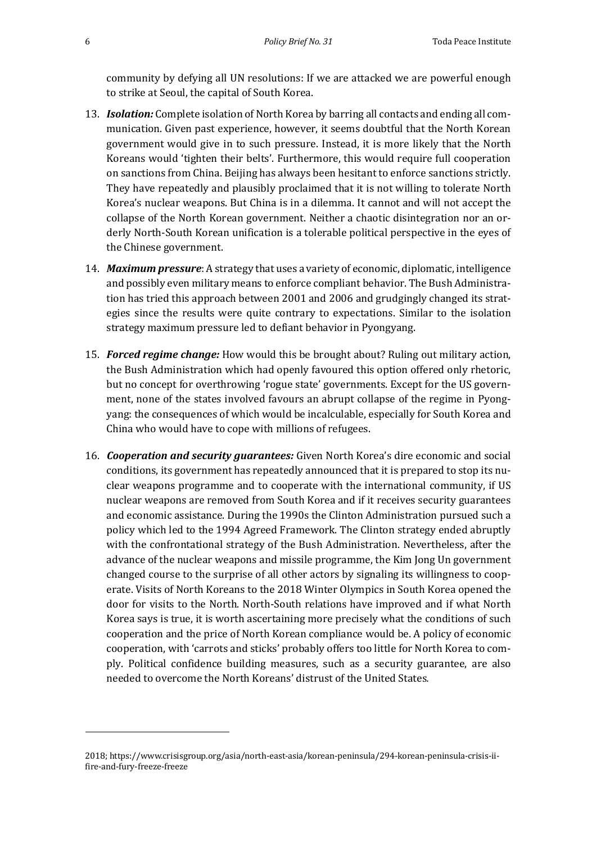community by defying all UN resolutions: If we are attacked we are powerful enough to strike at Seoul, the capital of South Korea.

- 13. **Isolation:** Complete isolation of North Korea by barring all contacts and ending all communication. Given past experience, however, it seems doubtful that the North Korean government would give in to such pressure. Instead, it is more likely that the North Koreans would 'tighten their belts'. Furthermore, this would require full cooperation on sanctions from China. Beijing has always been hesitant to enforce sanctions strictly. They have repeatedly and plausibly proclaimed that it is not willing to tolerate North Korea's nuclear weapons. But China is in a dilemma. It cannot and will not accept the collapse of the North Korean government. Neither a chaotic disintegration nor an orderly North-South Korean unification is a tolerable political perspective in the eyes of the Chinese government.
- 14. *Maximum pressure*: A strategy that uses a variety of economic, diplomatic, intelligence and possibly even military means to enforce compliant behavior. The Bush Administration has tried this approach between 2001 and 2006 and grudgingly changed its strategies since the results were quite contrary to expectations. Similar to the isolation strategy maximum pressure led to defiant behavior in Pyongyang.
- 15. **Forced regime change:** How would this be brought about? Ruling out military action, the Bush Administration which had openly favoured this option offered only rhetoric, but no concept for overthrowing 'rogue state' governments. Except for the US government, none of the states involved favours an abrupt collapse of the regime in Pyongyang: the consequences of which would be incalculable, especially for South Korea and China who would have to cope with millions of refugees.
- 16. *Cooperation and security quarantees:* Given North Korea's dire economic and social conditions, its government has repeatedly announced that it is prepared to stop its nuclear weapons programme and to cooperate with the international community, if US nuclear weapons are removed from South Korea and if it receives security guarantees and economic assistance. During the 1990s the Clinton Administration pursued such a policy which led to the 1994 Agreed Framework. The Clinton strategy ended abruptly with the confrontational strategy of the Bush Administration. Nevertheless, after the advance of the nuclear weapons and missile programme, the Kim Jong Un government changed course to the surprise of all other actors by signaling its willingness to cooperate. Visits of North Koreans to the 2018 Winter Olympics in South Korea opened the door for visits to the North. North-South relations have improved and if what North Korea says is true, it is worth ascertaining more precisely what the conditions of such cooperation and the price of North Korean compliance would be. A policy of economic cooperation, with 'carrots and sticks' probably offers too little for North Korea to comply. Political confidence building measures, such as a security guarantee, are also needed to overcome the North Koreans' distrust of the United States.

<sup>2018;</sup> https://www.crisisgroup.org/asia/north-east-asia/korean-peninsula/294-korean-peninsula-crisis-iifire-and-fury-freeze-freeze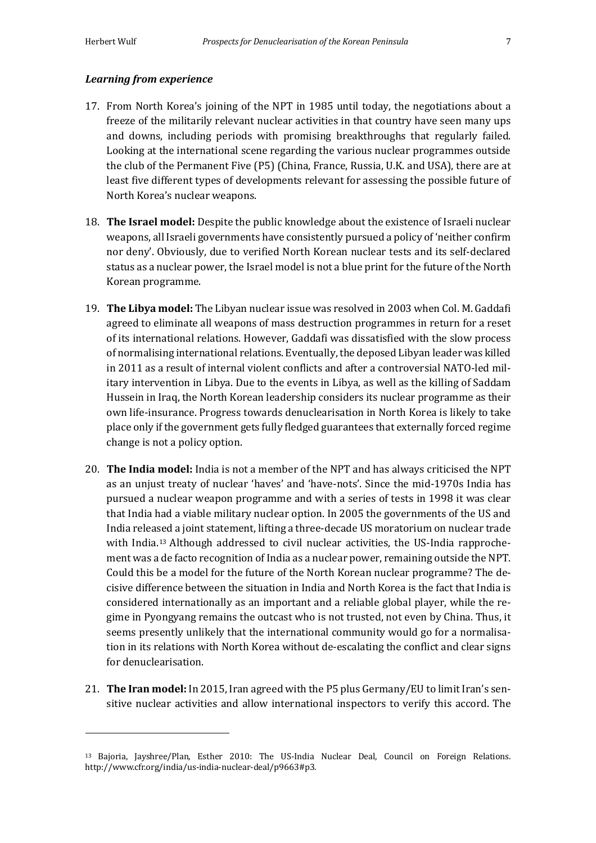#### *Learning from experience*

- 17. From North Korea's joining of the NPT in 1985 until today, the negotiations about a freeze of the militarily relevant nuclear activities in that country have seen many ups and downs, including periods with promising breakthroughs that regularly failed. Looking at the international scene regarding the various nuclear programmes outside the club of the Permanent Five (P5) (China, France, Russia, U.K. and USA), there are at least five different types of developments relevant for assessing the possible future of North Korea's nuclear weapons.
- 18. **The Israel model:** Despite the public knowledge about the existence of Israeli nuclear weapons, all Israeli governments have consistently pursued a policy of 'neither confirm nor deny'. Obviously, due to verified North Korean nuclear tests and its self-declared status as a nuclear power, the Israel model is not a blue print for the future of the North Korean programme.
- 19. **The Libya model:** The Libyan nuclear issue was resolved in 2003 when Col. M. Gaddafi agreed to eliminate all weapons of mass destruction programmes in return for a reset of its international relations. However, Gaddafi was dissatisfied with the slow process of normalising international relations. Eventually, the deposed Libyan leader was killed in 2011 as a result of internal violent conflicts and after a controversial NATO-led military intervention in Libya. Due to the events in Libya, as well as the killing of Saddam Hussein in Iraq, the North Korean leadership considers its nuclear programme as their own life-insurance. Progress towards denuclearisation in North Korea is likely to take place only if the government gets fully fledged guarantees that externally forced regime change is not a policy option.
- 20. **The India model:** India is not a member of the NPT and has always criticised the NPT as an unjust treaty of nuclear 'haves' and 'have-nots'. Since the mid-1970s India has pursued a nuclear weapon programme and with a series of tests in 1998 it was clear that India had a viable military nuclear option. In 2005 the governments of the US and India released a joint statement, lifting a three-decade US moratorium on nuclear trade with India.<sup>13</sup> Although addressed to civil nuclear activities, the US-India rapprochement was a de facto recognition of India as a nuclear power, remaining outside the NPT. Could this be a model for the future of the North Korean nuclear programme? The decisive difference between the situation in India and North Korea is the fact that India is considered internationally as an important and a reliable global player, while the regime in Pyongyang remains the outcast who is not trusted, not even by China. Thus, it seems presently unlikely that the international community would go for a normalisation in its relations with North Korea without de-escalating the conflict and clear signs for denuclearisation.
- 21. **The Iran model:** In 2015, Iran agreed with the P5 plus Germany/EU to limit Iran's sensitive nuclear activities and allow international inspectors to verify this accord. The

<sup>13</sup> Bajoria, Jayshree/Plan, Esther 2010: The US-India Nuclear Deal, Council on Foreign Relations. http://www.cfr.org/india/us-india-nuclear-deal/p9663#p3.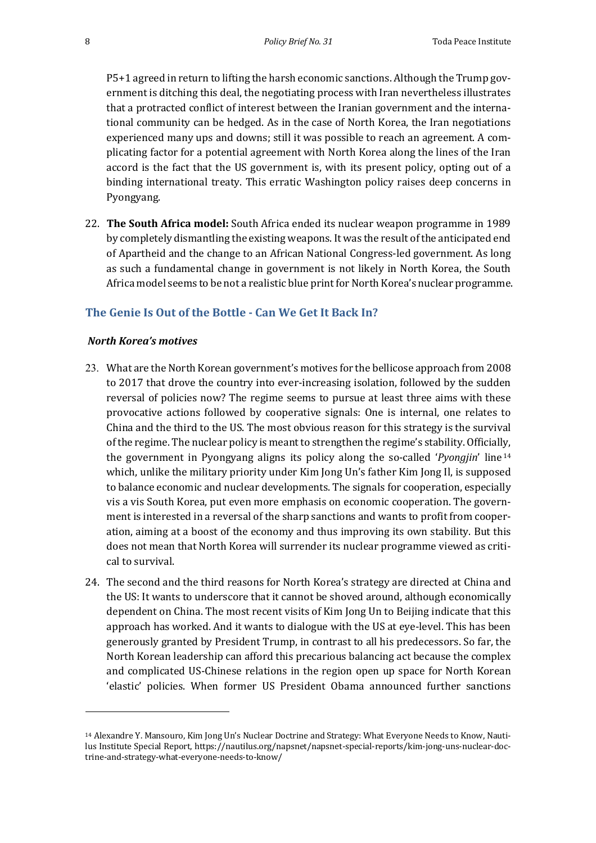P5+1 agreed in return to lifting the harsh economic sanctions. Although the Trump government is ditching this deal, the negotiating process with Iran nevertheless illustrates that a protracted conflict of interest between the Iranian government and the international community can be hedged. As in the case of North Korea, the Iran negotiations experienced many ups and downs; still it was possible to reach an agreement. A complicating factor for a potential agreement with North Korea along the lines of the Iran accord is the fact that the US government is, with its present policy, opting out of a binding international treaty. This erratic Washington policy raises deep concerns in Pyongyang.

22. **The South Africa model:** South Africa ended its nuclear weapon programme in 1989 by completely dismantling the existing weapons. It was the result of the anticipated end of Apartheid and the change to an African National Congress-led government. As long as such a fundamental change in government is not likely in North Korea, the South Africa model seems to be not a realistic blue print for North Korea's nuclear programme.

### **The Genie Is Out of the Bottle - Can We Get It Back In?**

#### *North Korea's motives*

- 23. What are the North Korean government's motives for the bellicose approach from 2008 to 2017 that drove the country into ever-increasing isolation, followed by the sudden reversal of policies now? The regime seems to pursue at least three aims with these provocative actions followed by cooperative signals: One is internal, one relates to China and the third to the US. The most obvious reason for this strategy is the survival of the regime. The nuclear policy is meant to strengthen the regime's stability. Officially, the government in Pyongyang aligns its policy along the so-called '*Pyongjin*' line<sup>14</sup> which, unlike the military priority under Kim Jong Un's father Kim Jong Il, is supposed to balance economic and nuclear developments. The signals for cooperation, especially vis a vis South Korea, put even more emphasis on economic cooperation. The government is interested in a reversal of the sharp sanctions and wants to profit from cooperation, aiming at a boost of the economy and thus improving its own stability. But this does not mean that North Korea will surrender its nuclear programme viewed as critical to survival.
- 24. The second and the third reasons for North Korea's strategy are directed at China and the US: It wants to underscore that it cannot be shoved around, although economically dependent on China. The most recent visits of Kim Jong Un to Beijing indicate that this approach has worked. And it wants to dialogue with the US at eye-level. This has been generously granted by President Trump, in contrast to all his predecessors. So far, the North Korean leadership can afford this precarious balancing act because the complex and complicated US-Chinese relations in the region open up space for North Korean 'elastic' policies. When former US President Obama announced further sanctions

<sup>&</sup>lt;sup>14</sup> Alexandre Y. Mansouro, Kim Jong Un's Nuclear Doctrine and Strategy: What Everyone Needs to Know, Nautilus Institute Special Report, https://nautilus.org/napsnet/napsnet-special-reports/kim-jong-uns-nuclear-doctrine-and-strategy-what-everyone-needs-to-know/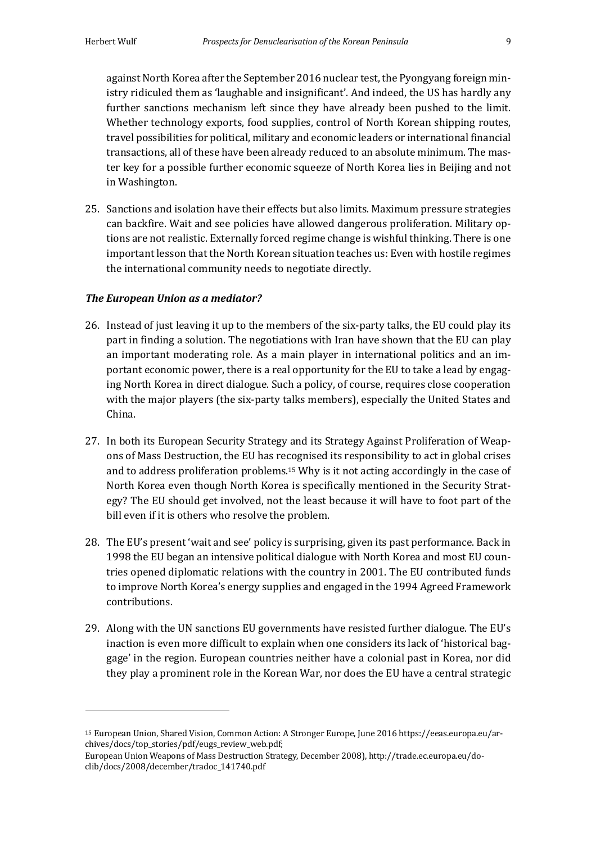against North Korea after the September 2016 nuclear test, the Pyongyang foreign ministry ridiculed them as 'laughable and insignificant'. And indeed, the US has hardly any further sanctions mechanism left since they have already been pushed to the limit. Whether technology exports, food supplies, control of North Korean shipping routes, travel possibilities for political, military and economic leaders or international financial transactions, all of these have been already reduced to an absolute minimum. The master key for a possible further economic squeeze of North Korea lies in Beijing and not in Washington.

25. Sanctions and isolation have their effects but also limits. Maximum pressure strategies can backfire. Wait and see policies have allowed dangerous proliferation. Military options are not realistic. Externally forced regime change is wishful thinking. There is one important lesson that the North Korean situation teaches us: Even with hostile regimes the international community needs to negotiate directly.

#### *The European Union as a mediator?*

<u> 1989 - Johann Stein, marwolaethau a bh</u>

- 26. Instead of just leaving it up to the members of the six-party talks, the EU could play its part in finding a solution. The negotiations with Iran have shown that the EU can play an important moderating role. As a main player in international politics and an important economic power, there is a real opportunity for the EU to take a lead by engaging North Korea in direct dialogue. Such a policy, of course, requires close cooperation with the major players (the six-party talks members), especially the United States and China.
- 27. In both its European Security Strategy and its Strategy Against Proliferation of Weapons of Mass Destruction, the EU has recognised its responsibility to act in global crises and to address proliferation problems.<sup>15</sup> Why is it not acting accordingly in the case of North Korea even though North Korea is specifically mentioned in the Security Strategy? The EU should get involved, not the least because it will have to foot part of the bill even if it is others who resolve the problem.
- 28. The EU's present 'wait and see' policy is surprising, given its past performance. Back in 1998 the EU began an intensive political dialogue with North Korea and most EU countries opened diplomatic relations with the country in 2001. The EU contributed funds to improve North Korea's energy supplies and engaged in the 1994 Agreed Framework contributions.
- 29. Along with the UN sanctions EU governments have resisted further dialogue. The EU's inaction is even more difficult to explain when one considers its lack of 'historical baggage' in the region. European countries neither have a colonial past in Korea, nor did they play a prominent role in the Korean War, nor does the EU have a central strategic

<sup>&</sup>lt;sup>15</sup> European Union, Shared Vision, Common Action: A Stronger Europe, June 2016 https://eeas.europa.eu/archives/docs/top\_stories/pdf/eugs\_review\_web.pdf; 

European Union Weapons of Mass Destruction Strategy, December 2008), http://trade.ec.europa.eu/doclib/docs/2008/december/tradoc\_141740.pdf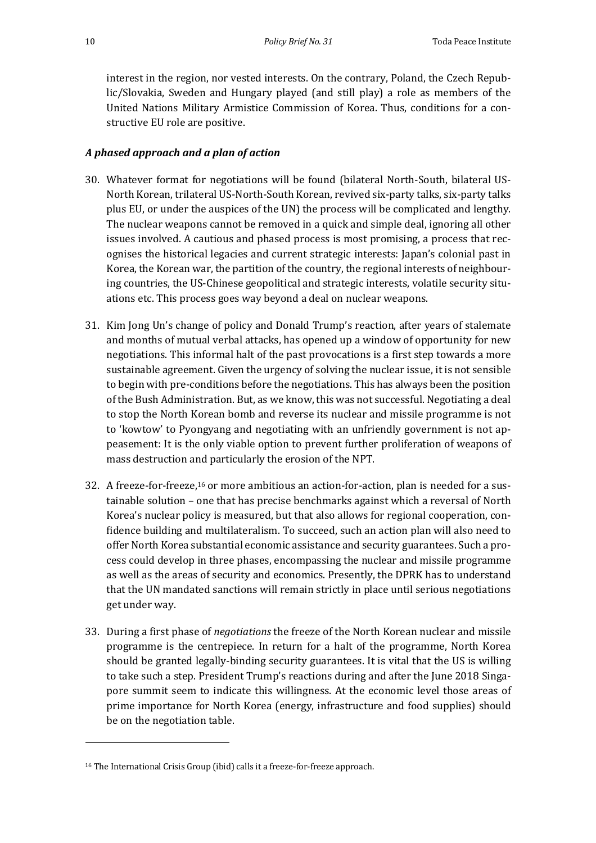interest in the region, nor vested interests. On the contrary, Poland, the Czech Republic/Slovakia, Sweden and Hungary played (and still play) a role as members of the United Nations Military Armistice Commission of Korea. Thus, conditions for a constructive EU role are positive.

### *A phased approach and a plan of action*

- 30. Whatever format for negotiations will be found (bilateral North-South, bilateral US-North Korean, trilateral US-North-South Korean, revived six-party talks, six-party talks plus EU, or under the auspices of the UN) the process will be complicated and lengthy. The nuclear weapons cannot be removed in a quick and simple deal, ignoring all other issues involved. A cautious and phased process is most promising, a process that recognises the historical legacies and current strategic interests: Japan's colonial past in Korea, the Korean war, the partition of the country, the regional interests of neighbouring countries, the US-Chinese geopolitical and strategic interests, volatile security situations etc. This process goes way beyond a deal on nuclear weapons.
- 31. Kim Jong Un's change of policy and Donald Trump's reaction, after years of stalemate and months of mutual verbal attacks, has opened up a window of opportunity for new negotiations. This informal halt of the past provocations is a first step towards a more sustainable agreement. Given the urgency of solving the nuclear issue, it is not sensible to begin with pre-conditions before the negotiations. This has always been the position of the Bush Administration. But, as we know, this was not successful. Negotiating a deal to stop the North Korean bomb and reverse its nuclear and missile programme is not to 'kowtow' to Pyongyang and negotiating with an unfriendly government is not appeasement: It is the only viable option to prevent further proliferation of weapons of mass destruction and particularly the erosion of the NPT.
- 32. A freeze-for-freeze,<sup>16</sup> or more ambitious an action-for-action, plan is needed for a sustainable solution – one that has precise benchmarks against which a reversal of North Korea's nuclear policy is measured, but that also allows for regional cooperation, confidence building and multilateralism. To succeed, such an action plan will also need to offer North Korea substantial economic assistance and security guarantees. Such a process could develop in three phases, encompassing the nuclear and missile programme as well as the areas of security and economics. Presently, the DPRK has to understand that the UN mandated sanctions will remain strictly in place until serious negotiations get under way.
- 33. During a first phase of *negotiations* the freeze of the North Korean nuclear and missile programme is the centrepiece. In return for a halt of the programme, North Korea should be granted legally-binding security guarantees. It is vital that the US is willing to take such a step. President Trump's reactions during and after the June 2018 Singapore summit seem to indicate this willingness. At the economic level those areas of prime importance for North Korea (energy, infrastructure and food supplies) should be on the negotiation table.

<u> 1989 - Johann Stein, marwolaethau a bh</u>

<sup>&</sup>lt;sup>16</sup> The International Crisis Group (ibid) calls it a freeze-for-freeze approach.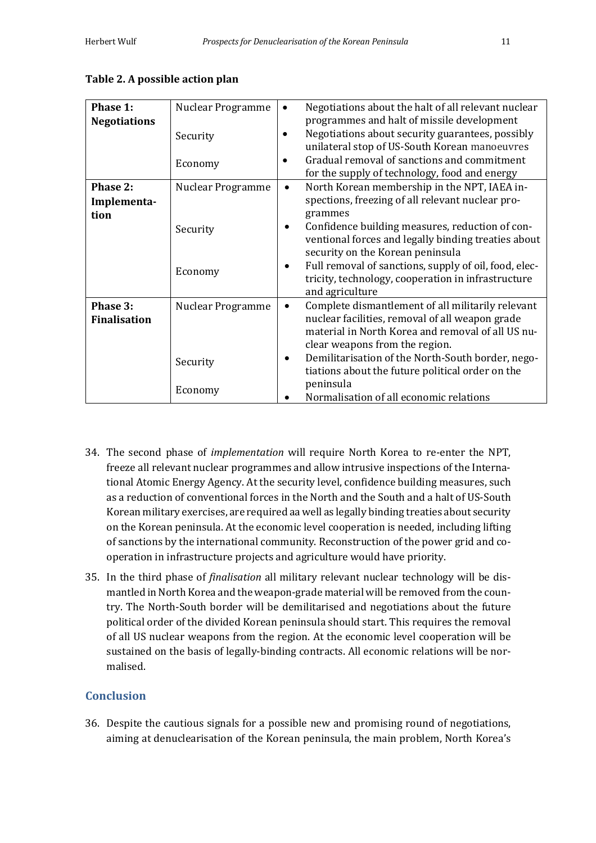| Phase 1:<br><b>Negotiations</b> | Nuclear Programme<br>Security<br>Economy | Negotiations about the halt of all relevant nuclear<br>٠<br>programmes and halt of missile development<br>Negotiations about security guarantees, possibly<br>unilateral stop of US-South Korean manoeuvres<br>Gradual removal of sanctions and commitment<br>for the supply of technology, food and energy |
|---------------------------------|------------------------------------------|-------------------------------------------------------------------------------------------------------------------------------------------------------------------------------------------------------------------------------------------------------------------------------------------------------------|
| Phase 2:                        | Nuclear Programme                        | North Korean membership in the NPT, IAEA in-<br>$\bullet$                                                                                                                                                                                                                                                   |
| Implementa-                     |                                          | spections, freezing of all relevant nuclear pro-                                                                                                                                                                                                                                                            |
| tion                            |                                          | grammes                                                                                                                                                                                                                                                                                                     |
|                                 | Security                                 | Confidence building measures, reduction of con-                                                                                                                                                                                                                                                             |
|                                 |                                          | ventional forces and legally binding treaties about<br>security on the Korean peninsula                                                                                                                                                                                                                     |
|                                 | Economy                                  | Full removal of sanctions, supply of oil, food, elec-                                                                                                                                                                                                                                                       |
|                                 |                                          | tricity, technology, cooperation in infrastructure                                                                                                                                                                                                                                                          |
|                                 |                                          | and agriculture                                                                                                                                                                                                                                                                                             |
| Phase 3:                        | Nuclear Programme                        | Complete dismantlement of all militarily relevant<br>$\bullet$                                                                                                                                                                                                                                              |
| <b>Finalisation</b>             |                                          | nuclear facilities, removal of all weapon grade<br>material in North Korea and removal of all US nu-                                                                                                                                                                                                        |
|                                 |                                          | clear weapons from the region.                                                                                                                                                                                                                                                                              |
|                                 |                                          | Demilitarisation of the North-South border, nego-                                                                                                                                                                                                                                                           |
|                                 | Security                                 | tiations about the future political order on the                                                                                                                                                                                                                                                            |
|                                 | Economy                                  | peninsula                                                                                                                                                                                                                                                                                                   |
|                                 |                                          | Normalisation of all economic relations                                                                                                                                                                                                                                                                     |

#### **Table 2. A possible action plan**

- 34. The second phase of *implementation* will require North Korea to re-enter the NPT, freeze all relevant nuclear programmes and allow intrusive inspections of the International Atomic Energy Agency. At the security level, confidence building measures, such as a reduction of conventional forces in the North and the South and a halt of US-South Korean military exercises, are required aa well as legally binding treaties about security on the Korean peninsula. At the economic level cooperation is needed, including lifting of sanctions by the international community. Reconstruction of the power grid and cooperation in infrastructure projects and agriculture would have priority.
- 35. In the third phase of *finalisation* all military relevant nuclear technology will be dismantled in North Korea and the weapon-grade material will be removed from the country. The North-South border will be demilitarised and negotiations about the future political order of the divided Korean peninsula should start. This requires the removal of all US nuclear weapons from the region. At the economic level cooperation will be sustained on the basis of legally-binding contracts. All economic relations will be normalised.

## **Conclusion**

36. Despite the cautious signals for a possible new and promising round of negotiations, aiming at denuclearisation of the Korean peninsula, the main problem, North Korea's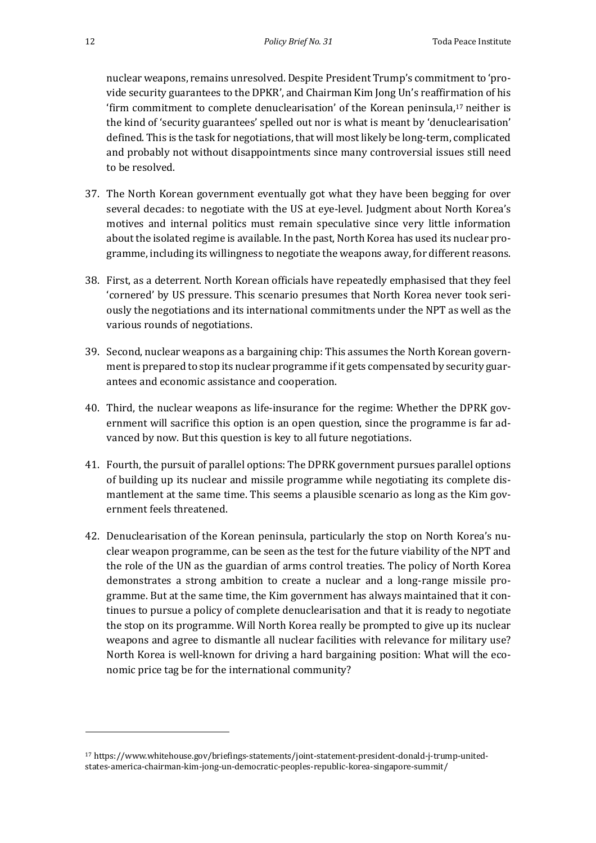nuclear weapons, remains unresolved. Despite President Trump's commitment to 'provide security guarantees to the DPKR', and Chairman Kim Jong Un's reaffirmation of his 'firm commitment to complete denuclearisation' of the Korean peninsula, $17$  neither is the kind of 'security guarantees' spelled out nor is what is meant by 'denuclearisation' defined. This is the task for negotiations, that will most likely be long-term, complicated and probably not without disappointments since many controversial issues still need to be resolved.

- 37. The North Korean government eventually got what they have been begging for over several decades: to negotiate with the US at eye-level. Judgment about North Korea's motives and internal politics must remain speculative since very little information about the isolated regime is available. In the past, North Korea has used its nuclear programme, including its willingness to negotiate the weapons away, for different reasons.
- 38. First, as a deterrent. North Korean officials have repeatedly emphasised that they feel 'cornered' by US pressure. This scenario presumes that North Korea never took seriously the negotiations and its international commitments under the NPT as well as the various rounds of negotiations.
- 39. Second, nuclear weapons as a bargaining chip: This assumes the North Korean government is prepared to stop its nuclear programme if it gets compensated by security guarantees and economic assistance and cooperation.
- 40. Third, the nuclear weapons as life-insurance for the regime: Whether the DPRK government will sacrifice this option is an open question, since the programme is far advanced by now. But this question is key to all future negotiations.
- 41. Fourth, the pursuit of parallel options: The DPRK government pursues parallel options of building up its nuclear and missile programme while negotiating its complete dismantlement at the same time. This seems a plausible scenario as long as the Kim government feels threatened.
- 42. Denuclearisation of the Korean peninsula, particularly the stop on North Korea's nuclear weapon programme, can be seen as the test for the future viability of the NPT and the role of the UN as the guardian of arms control treaties. The policy of North Korea demonstrates a strong ambition to create a nuclear and a long-range missile programme. But at the same time, the Kim government has always maintained that it continues to pursue a policy of complete denuclearisation and that it is ready to negotiate the stop on its programme. Will North Korea really be prompted to give up its nuclear weapons and agree to dismantle all nuclear facilities with relevance for military use? North Korea is well-known for driving a hard bargaining position: What will the economic price tag be for the international community?

<sup>17</sup> https://www.whitehouse.gov/briefings-statements/joint-statement-president-donald-j-trump-unitedstates-america-chairman-kim-jong-un-democratic-peoples-republic-korea-singapore-summit/